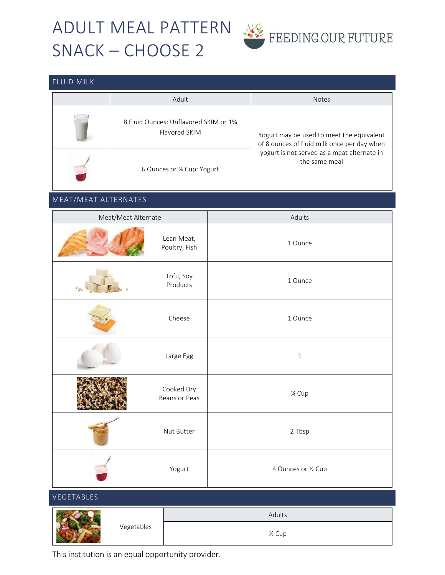# ADULT MEAL PATTERN WE FEEDING OUR FUTURE SNACK – CHOOSE 2



### FLUID MILK

| Adult                                                  | <b>Notes</b>                                                                                                                                             |  |
|--------------------------------------------------------|----------------------------------------------------------------------------------------------------------------------------------------------------------|--|
| 8 Fluid Ounces: Unflavored SKIM or 1%<br>Flavored SKIM | Yogurt may be used to meet the equivalent<br>of 8 ounces of fluid milk once per day when<br>yogurt is not served as a meat alternate in<br>the same meal |  |
| 6 Ounces or 34 Cup: Yogurt                             |                                                                                                                                                          |  |

### MEAT/MEAT ALTERNATES

| Meat/Meat Alternate |                             | Adults              |  |  |
|---------------------|-----------------------------|---------------------|--|--|
|                     | Lean Meat,<br>Poultry, Fish | 1 Ounce             |  |  |
|                     | Tofu, Soy<br>Products       | 1 Ounce             |  |  |
|                     | Cheese                      | 1 Ounce             |  |  |
|                     | Large Egg                   | $\,1\,$             |  |  |
|                     | Cooked Dry<br>Beans or Peas | 1⁄4 Cup             |  |  |
|                     | Nut Butter                  | 2 Tbsp              |  |  |
|                     | Yogurt                      | 4 Ounces or 1/2 Cup |  |  |
| VEGETABLES          |                             |                     |  |  |
|                     |                             | Adults              |  |  |
|                     | Vegetables                  | $\frac{1}{2}$ Cup   |  |  |

This institution is an equal opportunity provider.